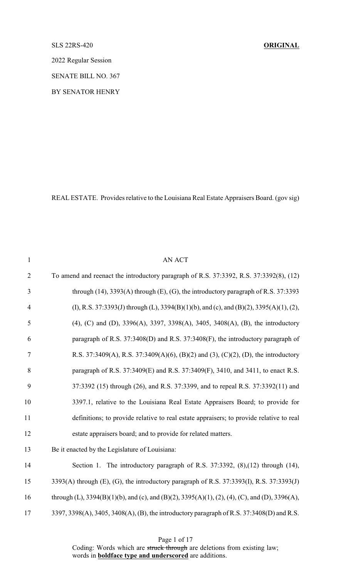#### SLS 22RS-420 **ORIGINAL**

2022 Regular Session

SENATE BILL NO. 367

BY SENATOR HENRY

REAL ESTATE. Provides relative to the Louisiana Real Estate Appraisers Board. (gov sig)

| $\mathbf{1}$   | <b>AN ACT</b>                                                                                  |
|----------------|------------------------------------------------------------------------------------------------|
| $\overline{2}$ | To amend and reenact the introductory paragraph of R.S. 37:3392, R.S. 37:3392(8), (12)         |
| 3              | through $(14)$ , 3393 $(A)$ through $(E)$ , $(G)$ , the introductory paragraph of R.S. 37:3393 |
| $\overline{4}$ | (I), R.S. 37:3393(J) through (L), 3394(B)(1)(b), and (c), and (B)(2), 3395(A)(1), (2),         |
| 5              | (4), (C) and (D), 3396(A), 3397, 3398(A), 3405, 3408(A), (B), the introductory                 |
| 6              | paragraph of R.S. 37:3408(D) and R.S. 37:3408(F), the introductory paragraph of                |
| 7              | R.S. 37:3409(A), R.S. 37:3409(A)(6), (B)(2) and (3), (C)(2), (D), the introductory             |
| 8              | paragraph of R.S. 37:3409(E) and R.S. 37:3409(F), 3410, and 3411, to enact R.S.                |
| 9              | 37:3392 (15) through (26), and R.S. 37:3399, and to repeal R.S. 37:3392(11) and                |
| 10             | 3397.1, relative to the Louisiana Real Estate Appraisers Board; to provide for                 |
| 11             | definitions; to provide relative to real estate appraisers; to provide relative to real        |
| 12             | estate appraisers board; and to provide for related matters.                                   |
| 13             | Be it enacted by the Legislature of Louisiana:                                                 |
| 14             | Section 1. The introductory paragraph of R.S. 37:3392, (8), (12) through (14),                 |
| 15             | 3393(A) through (E), (G), the introductory paragraph of R.S. 37:3393(I), R.S. 37:3393(J)       |
| 16             | through (L), 3394(B)(1)(b), and (c), and (B)(2), 3395(A)(1), (2), (4), (C), and (D), 3396(A),  |
| 17             | 3397, 3398(A), 3405, 3408(A), (B), the introductory paragraph of R.S. 37:3408(D) and R.S.      |
|                |                                                                                                |

Page 1 of 17

Coding: Words which are struck through are deletions from existing law; words in **boldface type and underscored** are additions.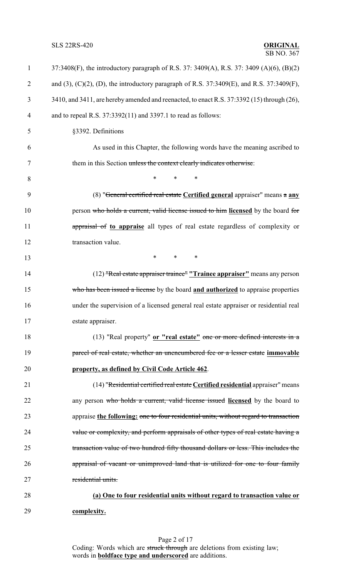**SLS 22RS-420** 

# **ORIGINAL**<br>SB NO. 367

| $\mathbf{1}$   | 37:3408(F), the introductory paragraph of R.S. 37: 3409(A), R.S. 37: 3409 (A)(6), (B)(2)        |
|----------------|-------------------------------------------------------------------------------------------------|
| $\overline{2}$ | and (3), (C)(2), (D), the introductory paragraph of R.S. $37:3409(E)$ , and R.S. $37:3409(F)$ , |
| 3              | 3410, and 3411, are hereby amended and reenacted, to enact R.S. 37:3392 (15) through (26),      |
| 4              | and to repeal R.S. $37:3392(11)$ and $3397.1$ to read as follows:                               |
| 5              | §3392. Definitions                                                                              |
| 6              | As used in this Chapter, the following words have the meaning ascribed to                       |
| 7              | them in this Section unless the context clearly indicates otherwise:                            |
| 8              | $\ast$<br>$\ast$<br>$\ast$                                                                      |
| 9              | (8) "General certified real estate Certified general appraiser" means a any                     |
| 10             | person who holds a current, valid license issued to him licensed by the board for               |
| 11             | appraisal of to appraise all types of real estate regardless of complexity or                   |
| 12             | transaction value.                                                                              |
| 13             | $\ast$<br>$\ast$<br>∗                                                                           |
| 14             | (12) "Real estate appraiser trainee" "Trainee appraiser" means any person                       |
| 15             | who has been issued a license by the board and authorized to appraise properties                |
| 16             | under the supervision of a licensed general real estate appraiser or residential real           |
| 17             | estate appraiser.                                                                               |
| 18             | (13) "Real property" or "real estate" one or more defined interests in a                        |
| 19             | parcel of real estate, whether an unencumbered fee or a lesser estate immovable                 |
| 20             | property, as defined by Civil Code Article 462.                                                 |
| 21             | (14) "Residential certified real estate Certified residential appraiser" means                  |
| 22             | any person who holds a current, valid license issued licensed by the board to                   |
| 23             | appraise the following: one to four residential units, without regard to transaction            |
| 24             | value or complexity, and perform appraisals of other types of real estate having a              |
| 25             | transaction value of two hundred fifty thousand dollars or less. This includes the              |
| 26             | appraisal of vacant or unimproved land that is utilized for one to four family                  |
| 27             | residential units.                                                                              |
| 28             | (a) One to four residential units without regard to transaction value or                        |
| 29             | complexity.                                                                                     |

Page 2 of 17 Coding: Words which are struck through are deletions from existing law; words in **boldface type and underscored** are additions.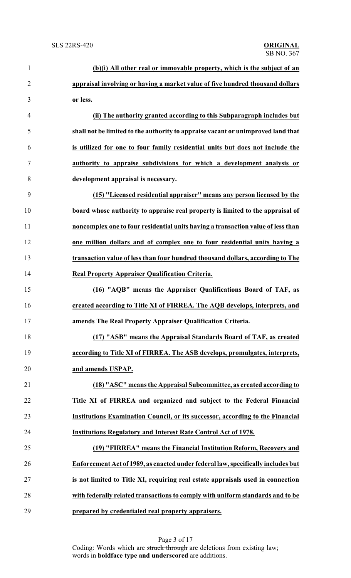| $\mathbf{1}$   | (b)(i) All other real or immovable property, which is the subject of an          |
|----------------|----------------------------------------------------------------------------------|
| $\overline{2}$ | appraisal involving or having a market value of five hundred thousand dollars    |
| 3              | or less.                                                                         |
| $\overline{4}$ | (ii) The authority granted according to this Subparagraph includes but           |
| 5              | shall not be limited to the authority to appraise vacant or unimproved land that |
| 6              | is utilized for one to four family residential units but does not include the    |
| $\tau$         | authority to appraise subdivisions for which a development analysis or           |
| 8              | development appraisal is necessary.                                              |
| 9              | (15) "Licensed residential appraiser" means any person licensed by the           |
| 10             | board whose authority to appraise real property is limited to the appraisal of   |
| 11             | noncomplex one to four residential units having a transaction value of less than |
| 12             | one million dollars and of complex one to four residential units having a        |
| 13             | transaction value of less than four hundred thousand dollars, according to The   |
| 14             | <b>Real Property Appraiser Qualification Criteria.</b>                           |
| 15             | (16) "AQB" means the Appraiser Qualifications Board of TAF, as                   |
| 16             | created according to Title XI of FIRREA. The AQB develops, interprets, and       |
| 17             | amends The Real Property Appraiser Qualification Criteria.                       |
| 18             | (17) "ASB" means the Appraisal Standards Board of TAF, as created                |
| 19             | according to Title XI of FIRREA. The ASB develops, promulgates, interprets,      |
| 20             | and amends USPAP.                                                                |
| 21             | (18) "ASC" means the Appraisal Subcommittee, as created according to             |
| 22             | Title XI of FIRREA and organized and subject to the Federal Financial            |
| 23             | Institutions Examination Council, or its successor, according to the Financial   |
| 24             | <b>Institutions Regulatory and Interest Rate Control Act of 1978.</b>            |
| 25             | (19) "FIRREA" means the Financial Institution Reform, Recovery and               |
| 26             | Enforcement Act of 1989, as enacted under federal law, specifically includes but |
| 27             | is not limited to Title XI, requiring real estate appraisals used in connection  |
| 28             | with federally related transactions to comply with uniform standards and to be   |
| 29             | prepared by credentialed real property appraisers.                               |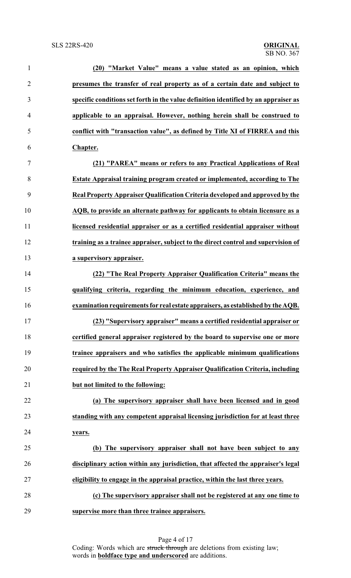| $\mathbf{1}$   | (20) "Market Value" means a value stated as an opinion, which                       |
|----------------|-------------------------------------------------------------------------------------|
| $\overline{2}$ | presumes the transfer of real property as of a certain date and subject to          |
| 3              | specific conditions set forth in the value definition identified by an appraiser as |
| $\overline{4}$ | applicable to an appraisal. However, nothing herein shall be construed to           |
| 5              | conflict with "transaction value", as defined by Title XI of FIRREA and this        |
| 6              | Chapter.                                                                            |
| $\overline{7}$ | (21) "PAREA" means or refers to any Practical Applications of Real                  |
| 8              | <b>Estate Appraisal training program created or implemented, according to The</b>   |
| 9              | Real Property Appraiser Qualification Criteria developed and approved by the        |
| 10             | AQB, to provide an alternate pathway for applicants to obtain licensure as a        |
| 11             | licensed residential appraiser or as a certified residential appraiser without      |
| 12             | training as a trainee appraiser, subject to the direct control and supervision of   |
| 13             | a supervisory appraiser.                                                            |
| 14             | (22) "The Real Property Appraiser Qualification Criteria" means the                 |
| 15             | qualifying criteria, regarding the minimum education, experience, and               |
| 16             | examination requirements for real estate appraisers, as established by the AQB.     |
| 17             | (23) "Supervisory appraiser" means a certified residential appraiser or             |
| 18             | certified general appraiser registered by the board to supervise one or more        |
| 19             | trainee appraisers and who satisfies the applicable minimum qualifications          |
| 20             | required by the The Real Property Appraiser Qualification Criteria, including       |
| 21             | but not limited to the following:                                                   |
| 22             | (a) The supervisory appraiser shall have been licensed and in good                  |
| 23             | standing with any competent appraisal licensing jurisdiction for at least three     |
| 24             | years.                                                                              |
| 25             | (b) The supervisory appraiser shall not have been subject to any                    |
| 26             | disciplinary action within any jurisdiction, that affected the appraiser's legal    |
| 27             | eligibility to engage in the appraisal practice, within the last three years.       |
| 28             | (c) The supervisory appraiser shall not be registered at any one time to            |
| 29             | supervise more than three trainee appraisers.                                       |

Page 4 of 17 Coding: Words which are struck through are deletions from existing law; words in **boldface type and underscored** are additions.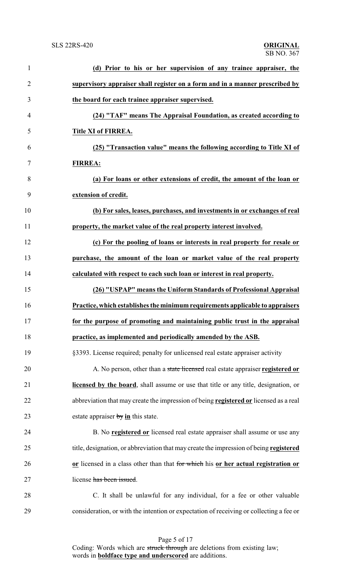| $\mathbf{1}$   | (d) Prior to his or her supervision of any trainee appraiser, the                       |
|----------------|-----------------------------------------------------------------------------------------|
| $\overline{2}$ | supervisory appraiser shall register on a form and in a manner prescribed by            |
| 3              | the board for each trainee appraiser supervised.                                        |
| $\overline{4}$ | (24) "TAF" means The Appraisal Foundation, as created according to                      |
| 5              | Title XI of FIRREA.                                                                     |
| 6              | (25) "Transaction value" means the following according to Title XI of                   |
| 7              | <b>FIRREA:</b>                                                                          |
| 8              | (a) For loans or other extensions of credit, the amount of the loan or                  |
| 9              | extension of credit.                                                                    |
| 10             | (b) For sales, leases, purchases, and investments in or exchanges of real               |
| 11             | property, the market value of the real property interest involved.                      |
| 12             | (c) For the pooling of loans or interests in real property for resale or                |
| 13             | purchase, the amount of the loan or market value of the real property                   |
| 14             | calculated with respect to each such loan or interest in real property.                 |
| 15             | (26) "USPAP" means the Uniform Standards of Professional Appraisal                      |
| 16             | Practice, which establishes the minimum requirements applicable to appraisers           |
| 17             | for the purpose of promoting and maintaining public trust in the appraisal              |
| 18             | practice, as implemented and periodically amended by the ASB.                           |
| 19             | §3393. License required; penalty for unlicensed real estate appraiser activity          |
| 20             | A. No person, other than a state licensed real estate appraiser registered or           |
| 21             | licensed by the board, shall assume or use that title or any title, designation, or     |
| 22             | abbreviation that may create the impression of being registered or licensed as a real   |
| 23             | estate appraiser $by$ in this state.                                                    |
| 24             | B. No registered or licensed real estate appraiser shall assume or use any              |
| 25             | title, designation, or abbreviation that may create the impression of being registered  |
| 26             | or licensed in a class other than that for which his or her actual registration or      |
| 27             | license has been issued.                                                                |
| 28             | C. It shall be unlawful for any individual, for a fee or other valuable                 |
| 29             | consideration, or with the intention or expectation of receiving or collecting a fee or |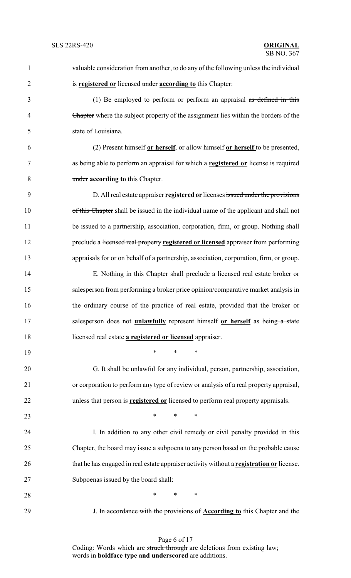valuable consideration from another, to do any of the following unless the individual is **registered or** licensed under **according to** this Chapter: (1) Be employed to perform or perform an appraisal as defined in this Chapter where the subject property of the assignment lies within the borders of the state of Louisiana. (2) Present himself **or herself**, or allow himself **or herself** to be presented, as being able to perform an appraisal for which a **registered or** license is required under **according to** this Chapter. D. All real estate appraiser **registered or** licenses issued under the provisions 10 of this Chapter shall be issued in the individual name of the applicant and shall not 11 be issued to a partnership, association, corporation, firm, or group. Nothing shall preclude a licensed real property **registered or licensed** appraiser from performing appraisals for or on behalf of a partnership, association, corporation, firm, or group. E. Nothing in this Chapter shall preclude a licensed real estate broker or salesperson from performing a broker price opinion/comparative market analysis in the ordinary course of the practice of real estate, provided that the broker or salesperson does not **unlawfully** represent himself **or herself** as being a state licensed real estate **a registered or licensed** appraiser. \* \* \* G. It shall be unlawful for any individual, person, partnership, association, or corporation to perform any type of review or analysis of a real property appraisal, unless that person is **registered or** licensed to perform real property appraisals.  $\cdots$  \* \* \* I. In addition to any other civil remedy or civil penalty provided in this Chapter, the board may issue a subpoena to any person based on the probable cause that he has engaged in real estate appraiser activity without a **registration or** license. Subpoenas issued by the board shall: **\*** \* \* \* J. In accordance with the provisions of **According to** this Chapter and the

> Page 6 of 17 Coding: Words which are struck through are deletions from existing law; words in **boldface type and underscored** are additions.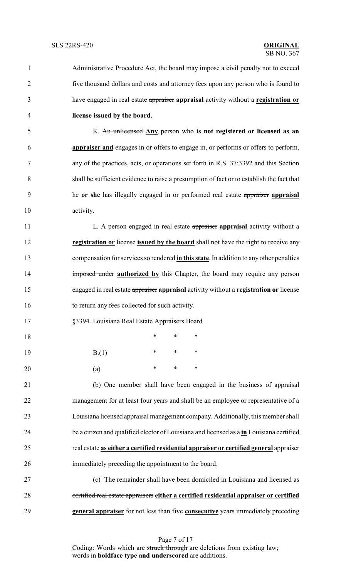| $\mathbf{1}$   | Administrative Procedure Act, the board may impose a civil penalty not to exceed          |
|----------------|-------------------------------------------------------------------------------------------|
| $\overline{2}$ | five thousand dollars and costs and attorney fees upon any person who is found to         |
| 3              | have engaged in real estate appraiser appraisal activity without a registration or        |
| 4              | license issued by the board.                                                              |
| 5              | K. An unlicensed Any person who is not registered or licensed as an                       |
| 6              | appraiser and engages in or offers to engage in, or performs or offers to perform,        |
| 7              | any of the practices, acts, or operations set forth in R.S. 37:3392 and this Section      |
| 8              | shall be sufficient evidence to raise a presumption of fact or to establish the fact that |
| 9              | he or she has illegally engaged in or performed real estate appraiser appraisal           |
| 10             | activity.                                                                                 |
| 11             | L. A person engaged in real estate appraiser appraisal activity without a                 |
| 12             | registration or license issued by the board shall not have the right to receive any       |
| 13             | compensation for services so rendered in this state. In addition to any other penalties   |
| 14             | imposed under authorized by this Chapter, the board may require any person                |
| 15             | engaged in real estate appraiser appraisal activity without a registration or license     |
| 16             | to return any fees collected for such activity.                                           |
| 17             | §3394. Louisiana Real Estate Appraisers Board                                             |
| 18             | *<br>∗<br>∗                                                                               |
| 19             | $\ast$<br>$\ast$<br>∗<br>B(1)                                                             |
| 20             | $\ast$<br>∗<br>∗<br>(a)                                                                   |
| 21             | (b) One member shall have been engaged in the business of appraisal                       |
| 22             | management for at least four years and shall be an employee or representative of a        |
| 23             | Louisiana licensed appraisal management company. Additionally, this member shall          |
| 24             | be a citizen and qualified elector of Louisiana and licensed as a in Louisiana certified  |
| 25             | real estate as either a certified residential appraiser or certified general appraiser    |
| 26             | immediately preceding the appointment to the board.                                       |
| 27             | (c) The remainder shall have been domiciled in Louisiana and licensed as                  |
| 28             | certified real estate appraisers either a certified residential appraiser or certified    |
| 29             | general appraiser for not less than five consecutive years immediately preceding          |

Page 7 of 17 Coding: Words which are struck through are deletions from existing law; words in **boldface type and underscored** are additions.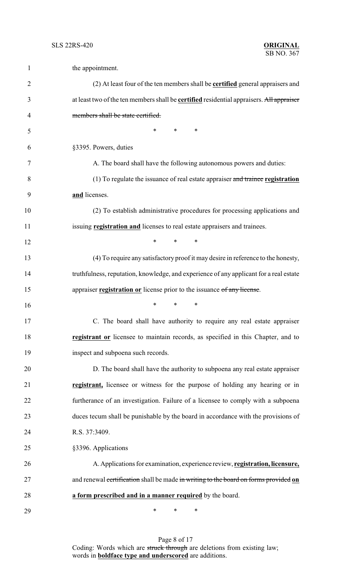| $\mathbf{1}$   | the appointment.                                                                                |
|----------------|-------------------------------------------------------------------------------------------------|
| $\overline{2}$ | (2) At least four of the ten members shall be <b>certified</b> general appraisers and           |
| 3              | at least two of the ten members shall be <b>certified</b> residential appraisers. All appraiser |
| 4              | members shall be state certified.                                                               |
| 5              | $\ast$<br>*<br>∗                                                                                |
| 6              | §3395. Powers, duties                                                                           |
| 7              | A. The board shall have the following autonomous powers and duties:                             |
| 8              | (1) To regulate the issuance of real estate appraiser and trainee registration                  |
| 9              | and licenses.                                                                                   |
| 10             | (2) To establish administrative procedures for processing applications and                      |
| 11             | issuing registration and licenses to real estate appraisers and trainees.                       |
| 12             | *<br>$\ast$<br>∗                                                                                |
| 13             | (4) To require any satisfactory proof it may desire in reference to the honesty,                |
| 14             | truthfulness, reputation, knowledge, and experience of any applicant for a real estate          |
| 15             | appraiser registration or license prior to the issuance of any license.                         |
| 16             | ∗<br>*<br>∗                                                                                     |
| 17             | C. The board shall have authority to require any real estate appraiser                          |
| 18             | <b>registrant or</b> licensee to maintain records, as specified in this Chapter, and to         |
| 19             | inspect and subpoena such records.                                                              |
| 20             | D. The board shall have the authority to subpoena any real estate appraiser                     |
| 21             | registrant, licensee or witness for the purpose of holding any hearing or in                    |
| 22             | furtherance of an investigation. Failure of a licensee to comply with a subpoena                |
| 23             | duces tecum shall be punishable by the board in accordance with the provisions of               |
| 24             | R.S. 37:3409.                                                                                   |
| 25             | §3396. Applications                                                                             |
| 26             | A. Applications for examination, experience review, registration, licensure,                    |
| 27             | and renewal certification shall be made in writing to the board on forms provided on            |
| 28             | a form prescribed and in a manner required by the board.                                        |
| 29             | ∗<br>∗<br>∗                                                                                     |

Page 8 of 17 Coding: Words which are struck through are deletions from existing law; words in **boldface type and underscored** are additions.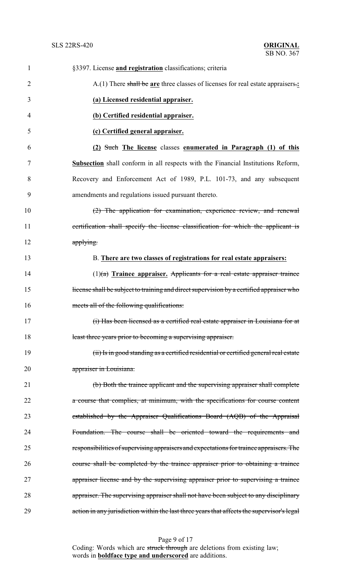# **ORIGINAL**<br>SB NO. 367

| $\mathbf{1}$   | §3397. License <i>and registration</i> classifications; criteria                           |
|----------------|--------------------------------------------------------------------------------------------|
| $\overline{2}$ | A.(1) There shall be are three classes of licenses for real estate appraisers.:            |
| 3              | (a) Licensed residential appraiser.                                                        |
| 4              | (b) Certified residential appraiser.                                                       |
| 5              | (c) Certified general appraiser.                                                           |
| 6              | (2) Such The license classes enumerated in Paragraph (1) of this                           |
| 7              | <b>Subsection</b> shall conform in all respects with the Financial Institutions Reform,    |
| 8              | Recovery and Enforcement Act of 1989, P.L. 101-73, and any subsequent                      |
| 9              | amendments and regulations issued pursuant thereto.                                        |
| 10             | (2) The application for examination, experience review, and renewal                        |
| 11             | certification shall specify the license classification for which the applicant is          |
| 12             | applying.                                                                                  |
| 13             | B. There are two classes of registrations for real estate appraisers:                      |
| 14             | $(1)(a)$ Trainee appraiser. Applicants for a real estate appraiser trainee                 |
| 15             | license shall be subject to training and direct supervision by a certified appraiser who   |
| 16             | meets all of the following qualifications:                                                 |
| 17             | (i) Has been licensed as a certified real estate appraiser in Louisiana for at             |
| 18             | least three years prior to becoming a supervising appraiser.                               |
| 19             | (ii) Is in good standing as a certified residential or certified general real estate       |
| 20             | appraiser in Louisiana.                                                                    |
| 21             | (b) Both the trainee applicant and the supervising appraiser shall complete                |
| 22             | a course that complies, at minimum, with the specifications for course content             |
| 23             | established by the Appraiser Qualifications Board (AQB) of the Appraisal                   |
| 24             | Foundation. The course shall be oriented toward the requirements and                       |
| 25             | responsibilities of supervising appraisers and expectations for trainee appraisers. The    |
| 26             | course shall be completed by the trainee appraiser prior to obtaining a trainee            |
| 27             | appraiser license and by the supervising appraiser prior to supervising a trainee          |
| 28             | appraiser. The supervising appraiser shall not have been subject to any disciplinary       |
| 29             | action in any jurisdiction within the last three years that affects the supervisor's legal |

Page 9 of 17 Coding: Words which are struck through are deletions from existing law; words in **boldface type and underscored** are additions.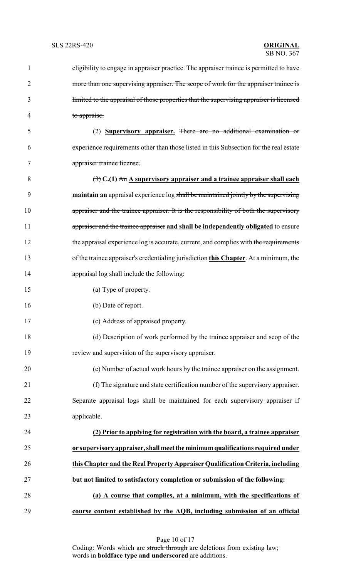| 1  | eligibility to engage in appraiser practice. The appraiser trainee is permitted to have        |
|----|------------------------------------------------------------------------------------------------|
| 2  | more than one supervising appraiser. The scope of work for the appraiser trainee is            |
| 3  | limited to the appraisal of those properties that the supervising appraiser is licensed        |
| 4  | to appraise.                                                                                   |
| 5  | (2) Supervisory appraiser. There are no additional examination or                              |
| 6  | experience requirements other than those listed in this Subsection for the real estate         |
| 7  | appraiser trainee license.                                                                     |
| 8  | $\left(\frac{1}{2}\right)$ C.(1) An A supervisory appraiser and a trainee appraiser shall each |
| 9  | maintain an appraisal experience log shall be maintained jointly by the supervising            |
| 10 | appraiser and the trainee appraiser. It is the responsibility of both the supervisory          |
| 11 | appraiser and the trainee appraiser and shall be independently obligated to ensure             |
| 12 | the appraisal experience log is accurate, current, and complies with the requirements          |
| 13 | of the trainee appraiser's credentialing jurisdiction this Chapter. At a minimum, the          |
| 14 | appraisal log shall include the following:                                                     |
| 15 | (a) Type of property.                                                                          |
| 16 | (b) Date of report.                                                                            |
| 17 | (c) Address of appraised property.                                                             |
| 18 | (d) Description of work performed by the trainee appraiser and scop of the                     |
| 19 | review and supervision of the supervisory appraiser.                                           |
| 20 | (e) Number of actual work hours by the trainee appraiser on the assignment.                    |
| 21 | (f) The signature and state certification number of the supervisory appraiser.                 |
| 22 | Separate appraisal logs shall be maintained for each supervisory appraiser if                  |
| 23 | applicable.                                                                                    |
| 24 | (2) Prior to applying for registration with the board, a trainee appraiser                     |
| 25 | or supervisory appraiser, shall meet the minimum qualifications required under                 |
| 26 | this Chapter and the Real Property Appraiser Qualification Criteria, including                 |
| 27 | but not limited to satisfactory completion or submission of the following:                     |
| 28 | (a) A course that complies, at a minimum, with the specifications of                           |
| 29 | course content established by the AQB, including submission of an official                     |

Page 10 of 17 Coding: Words which are struck through are deletions from existing law; words in **boldface type and underscored** are additions.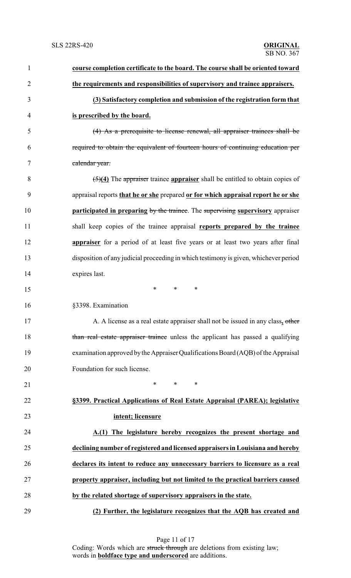| $\mathbf{1}$   | course completion certificate to the board. The course shall be oriented toward                  |
|----------------|--------------------------------------------------------------------------------------------------|
| $\overline{2}$ | the requirements and responsibilities of supervisory and trainee appraisers.                     |
| 3              | (3) Satisfactory completion and submission of the registration form that                         |
| $\overline{4}$ | is prescribed by the board.                                                                      |
| 5              | (4) As a prerequisite to license renewal, all appraiser trainees shall be                        |
| 6              | required to obtain the equivalent of fourteen hours of continuing education per                  |
| 7              | calendar year.                                                                                   |
| 8              | $\left(\frac{5}{4}\right)$ The appraiser trainee appraiser shall be entitled to obtain copies of |
| 9              | appraisal reports that he or she prepared or for which appraisal report he or she                |
| 10             | <b>participated in preparing by the trainee.</b> The supervising supervisory appraiser           |
| 11             | shall keep copies of the trainee appraisal reports prepared by the trainee                       |
| 12             | <b>appraiser</b> for a period of at least five years or at least two years after final           |
| 13             | disposition of any judicial proceeding in which testimony is given, whichever period             |
| 14             | expires last.                                                                                    |
| 15             | $\ast$<br>$\ast$<br>∗                                                                            |
| 16             | §3398. Examination                                                                               |
| 17             | A. A license as a real estate appraiser shall not be issued in any class, other                  |
| 18             | than real estate appraiser trainee unless the applicant has passed a qualifying                  |
| 19             | examination approved by the Appraiser Qualifications Board (AQB) of the Appraisal                |
| 20             | Foundation for such license.                                                                     |
| 21             | *<br>$\ast$<br>∗                                                                                 |
| 22             | §3399. Practical Applications of Real Estate Appraisal (PAREA); legislative                      |
| 23             | intent; licensure                                                                                |
| 24             | A.(1) The legislature hereby recognizes the present shortage and                                 |
| 25             | declining number of registered and licensed appraisers in Louisiana and hereby                   |
| 26             | declares its intent to reduce any unnecessary barriers to licensure as a real                    |
| 27             | property appraiser, including but not limited to the practical barriers caused                   |
| 28             | by the related shortage of supervisory appraisers in the state.                                  |
| 29             | (2) Further, the legislature recognizes that the AQB has created and                             |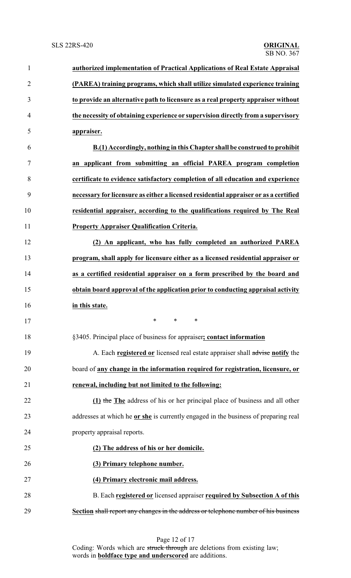| $\mathbf{1}$   | authorized implementation of Practical Applications of Real Estate Appraisal         |
|----------------|--------------------------------------------------------------------------------------|
| $\overline{2}$ | (PAREA) training programs, which shall utilize simulated experience training         |
| 3              | to provide an alternative path to licensure as a real property appraiser without     |
| $\overline{4}$ | the necessity of obtaining experience or supervision directly from a supervisory     |
| 5              | appraiser.                                                                           |
| 6              | B.(1) Accordingly, nothing in this Chapter shall be construed to prohibit            |
| 7              | an applicant from submitting an official PAREA program completion                    |
| 8              | certificate to evidence satisfactory completion of all education and experience      |
| 9              | necessary for licensure as either a licensed residential appraiser or as a certified |
| 10             | residential appraiser, according to the qualifications required by The Real          |
| 11             | <b>Property Appraiser Qualification Criteria.</b>                                    |
| 12             | (2) An applicant, who has fully completed an authorized PAREA                        |
| 13             | program, shall apply for licensure either as a licensed residential appraiser or     |
| 14             | as a certified residential appraiser on a form prescribed by the board and           |
| 15             | obtain board approval of the application prior to conducting appraisal activity      |
| 16             | in this state.                                                                       |
| 17             |                                                                                      |
| 18             | §3405. Principal place of business for appraiser; contact information                |
| 19             | A. Each registered or licensed real estate appraiser shall advise notify the         |
| 20             | board of any change in the information required for registration, licensure, or      |
| 21             | renewal, including but not limited to the following:                                 |
| 22             | (1) the The address of his or her principal place of business and all other          |
| 23             | addresses at which he or she is currently engaged in the business of preparing real  |
| 24             | property appraisal reports.                                                          |
| 25             | (2) The address of his or her domicile.                                              |
| 26             | (3) Primary telephone number.                                                        |
| 27             | (4) Primary electronic mail address.                                                 |
| 28             | B. Each registered or licensed appraiser required by Subsection A of this            |
| 29             | Section shall report any changes in the address or telephone number of his business  |

Page 12 of 17 Coding: Words which are struck through are deletions from existing law; words in **boldface type and underscored** are additions.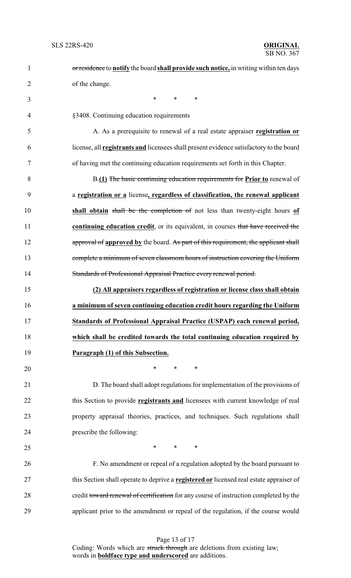| $\mathbf{1}$   | or residence to notify the board shall provide such notice, in writing within ten days         |
|----------------|------------------------------------------------------------------------------------------------|
| $\overline{2}$ | of the change.                                                                                 |
| 3              | $\ast$<br>$\ast$<br>$\ast$                                                                     |
| 4              | §3408. Continuing education requirements                                                       |
| 5              | A. As a prerequisite to renewal of a real estate appraiser registration or                     |
| 6              | license, all <b>registrants and</b> licensees shall present evidence satisfactory to the board |
| 7              | of having met the continuing education requirements set forth in this Chapter.                 |
| 8              | B.(1) The basic continuing education requirements for Prior to renewal of                      |
| 9              | a registration or a license, regardless of classification, the renewal applicant               |
| 10             | shall obtain shall be the completion of not less than twenty-eight hours of                    |
| 11             | continuing education credit, or its equivalent, in courses that have received the              |
| 12             | approval of approved by the board. As part of this requirement, the applicant shall            |
| 13             | complete a minimum of seven classroom hours of instruction covering the Uniform                |
| 14             | Standards of Professional Appraisal Practice every renewal period.                             |
| 15             | (2) All appraisers regardless of registration or license class shall obtain                    |
| 16             | a minimum of seven continuing education credit hours regarding the Uniform                     |
| 17             | Standards of Professional Appraisal Practice (USPAP) each renewal period,                      |
| 18             | which shall be credited towards the total continuing education required by                     |
| 19             | Paragraph (1) of this Subsection.                                                              |
| 20             | $\ast$<br>$\ast$<br>$\ast$                                                                     |
| 21             | D. The board shall adopt regulations for implementation of the provisions of                   |
| 22             | this Section to provide registrants and licensees with current knowledge of real               |
| 23             | property appraisal theories, practices, and techniques. Such regulations shall                 |
| 24             | prescribe the following:                                                                       |
| 25             | $\ast$<br>$\ast$<br>$\ast$                                                                     |
| 26             | F. No amendment or repeal of a regulation adopted by the board pursuant to                     |
| 27             | this Section shall operate to deprive a registered or licensed real estate appraiser of        |
| 28             | credit toward renewal of certification for any course of instruction completed by the          |
| 29             | applicant prior to the amendment or repeal of the regulation, if the course would              |

Page 13 of 17 Coding: Words which are struck through are deletions from existing law; words in **boldface type and underscored** are additions.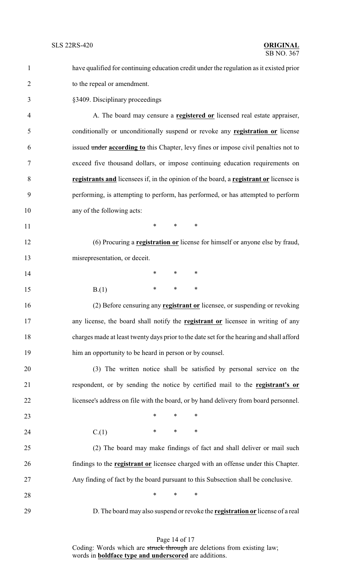| $\mathbf{1}$   | have qualified for continuing education credit under the regulation as it existed prior   |  |  |
|----------------|-------------------------------------------------------------------------------------------|--|--|
| $\overline{2}$ | to the repeal or amendment.                                                               |  |  |
| 3              | §3409. Disciplinary proceedings                                                           |  |  |
| $\overline{4}$ | A. The board may censure a <b>registered or</b> licensed real estate appraiser,           |  |  |
| 5              | conditionally or unconditionally suspend or revoke any <b>registration or</b> license     |  |  |
| 6              | issued under according to this Chapter, levy fines or impose civil penalties not to       |  |  |
| 7              | exceed five thousand dollars, or impose continuing education requirements on              |  |  |
| 8              | registrants and licensees if, in the opinion of the board, a registrant or licensee is    |  |  |
| 9              | performing, is attempting to perform, has performed, or has attempted to perform          |  |  |
| 10             | any of the following acts:                                                                |  |  |
| 11             | *<br>$\ast$<br>∗                                                                          |  |  |
| 12             | (6) Procuring a <b>registration or</b> license for himself or anyone else by fraud,       |  |  |
| 13             | misrepresentation, or deceit.                                                             |  |  |
| 14             | $\ast$<br>$\ast$<br>∗                                                                     |  |  |
| 15             | $\ast$<br>$\ast$<br>$\ast$<br>B(1)                                                        |  |  |
| 16             | (2) Before censuring any registrant or licensee, or suspending or revoking                |  |  |
| 17             | any license, the board shall notify the <b>registrant or</b> licensee in writing of any   |  |  |
| 18             | charges made at least twenty days prior to the date set for the hearing and shall afford  |  |  |
| 19             | him an opportunity to be heard in person or by counsel.                                   |  |  |
| 20             | (3) The written notice shall be satisfied by personal service on the                      |  |  |
| 21             | respondent, or by sending the notice by certified mail to the registrant's or             |  |  |
| 22             | licensee's address on file with the board, or by hand delivery from board personnel.      |  |  |
| 23             | $\ast$<br>$\ast$<br>$\ast$                                                                |  |  |
| 24             | $\ast$<br>$\ast$<br>C(1)<br>∗                                                             |  |  |
| 25             | (2) The board may make findings of fact and shall deliver or mail such                    |  |  |
| 26             | findings to the <b>registrant or</b> licensee charged with an offense under this Chapter. |  |  |
| 27             | Any finding of fact by the board pursuant to this Subsection shall be conclusive.         |  |  |
| 28             | *<br>∗<br>∗                                                                               |  |  |
| 29             | D. The board may also suspend or revoke the <b>registration or</b> license of a real      |  |  |

Page 14 of 17 Coding: Words which are struck through are deletions from existing law; words in **boldface type and underscored** are additions.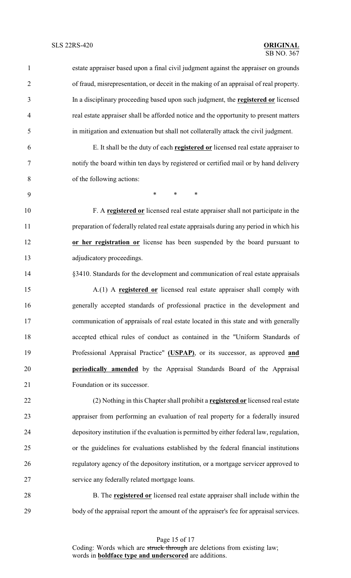estate appraiser based upon a final civil judgment against the appraiser on grounds of fraud, misrepresentation, or deceit in the making of an appraisal of real property. In a disciplinary proceeding based upon such judgment, the **registered or** licensed real estate appraiser shall be afforded notice and the opportunity to present matters in mitigation and extenuation but shall not collaterally attack the civil judgment. E. It shall be the duty of each **registered or** licensed real estate appraiser to

 notify the board within ten days by registered or certified mail or by hand delivery of the following actions:

\* \* \*

 F. A **registered or** licensed real estate appraiser shall not participate in the preparation of federally related real estate appraisals during any period in which his

 **or her registration or** license has been suspended by the board pursuant to adjudicatory proceedings.

§3410. Standards for the development and communication of real estate appraisals

 A.(1) A **registered or** licensed real estate appraiser shall comply with generally accepted standards of professional practice in the development and communication of appraisals of real estate located in this state and with generally accepted ethical rules of conduct as contained in the "Uniform Standards of Professional Appraisal Practice" **(USPAP)**, or its successor, as approved **and periodically amended** by the Appraisal Standards Board of the Appraisal Foundation or its successor.

 (2) Nothing in this Chapter shall prohibit a **registered or** licensed real estate appraiser from performing an evaluation of real property for a federally insured depository institution if the evaluation is permitted by either federal law, regulation, or the guidelines for evaluations established by the federal financial institutions regulatory agency of the depository institution, or a mortgage servicer approved to service any federally related mortgage loans.

 B. The **registered or** licensed real estate appraiser shall include within the 29 body of the appraisal report the amount of the appraiser's fee for appraisal services.

> Page 15 of 17 Coding: Words which are struck through are deletions from existing law; words in **boldface type and underscored** are additions.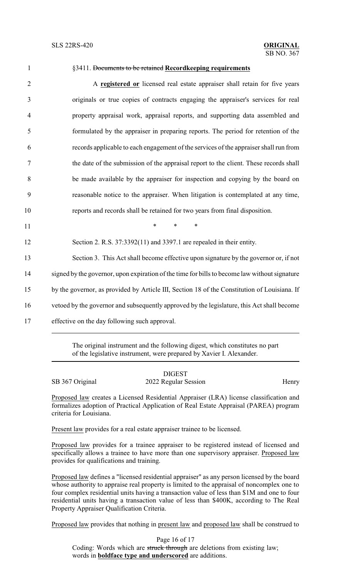### SB NO. 367

| $\mathbf{1}$   | §3411. Documents to be retained Recordkeeping requirements                                    |
|----------------|-----------------------------------------------------------------------------------------------|
| $\overline{2}$ | A registered or licensed real estate appraiser shall retain for five years                    |
| 3              | originals or true copies of contracts engaging the appraiser's services for real              |
| $\overline{4}$ | property appraisal work, appraisal reports, and supporting data assembled and                 |
| 5              | formulated by the appraiser in preparing reports. The period for retention of the             |
| 6              | records applicable to each engagement of the services of the appraiser shall run from         |
| $\tau$         | the date of the submission of the appraisal report to the client. These records shall         |
| 8              | be made available by the appraiser for inspection and copying by the board on                 |
| 9              | reasonable notice to the appraiser. When litigation is contemplated at any time,              |
| 10             | reports and records shall be retained for two years from final disposition.                   |
| 11             | $\ast$<br>$\ast$<br>$\ast$                                                                    |
| 12             | Section 2. R.S. $37:3392(11)$ and $3397.1$ are repealed in their entity.                      |
| 13             | Section 3. This Act shall become effective upon signature by the governor or, if not          |
| 14             | signed by the governor, upon expiration of the time for bills to become law without signature |
| 15             | by the governor, as provided by Article III, Section 18 of the Constitution of Louisiana. If  |
| 16             | vetoed by the governor and subsequently approved by the legislature, this Act shall become    |
| 17             | effective on the day following such approval.                                                 |
|                |                                                                                               |

The original instrument and the following digest, which constitutes no part of the legislative instrument, were prepared by Xavier I. Alexander.

|                 | <b>DIGEST</b>        |       |
|-----------------|----------------------|-------|
| SB 367 Original | 2022 Regular Session | Henry |

Proposed law creates a Licensed Residential Appraiser (LRA) license classification and formalizes adoption of Practical Application of Real Estate Appraisal (PAREA) program criteria for Louisiana.

Present law provides for a real estate appraiser trainee to be licensed.

Proposed law provides for a trainee appraiser to be registered instead of licensed and specifically allows a trainee to have more than one supervisory appraiser. Proposed law provides for qualifications and training.

Proposed law defines a "licensed residential appraiser" as any person licensed by the board whose authority to appraise real property is limited to the appraisal of noncomplex one to four complex residential units having a transaction value of less than \$1M and one to four residential units having a transaction value of less than \$400K, according to The Real Property Appraiser Qualification Criteria.

Proposed law provides that nothing in present law and proposed law shall be construed to

Page 16 of 17 Coding: Words which are struck through are deletions from existing law; words in **boldface type and underscored** are additions.